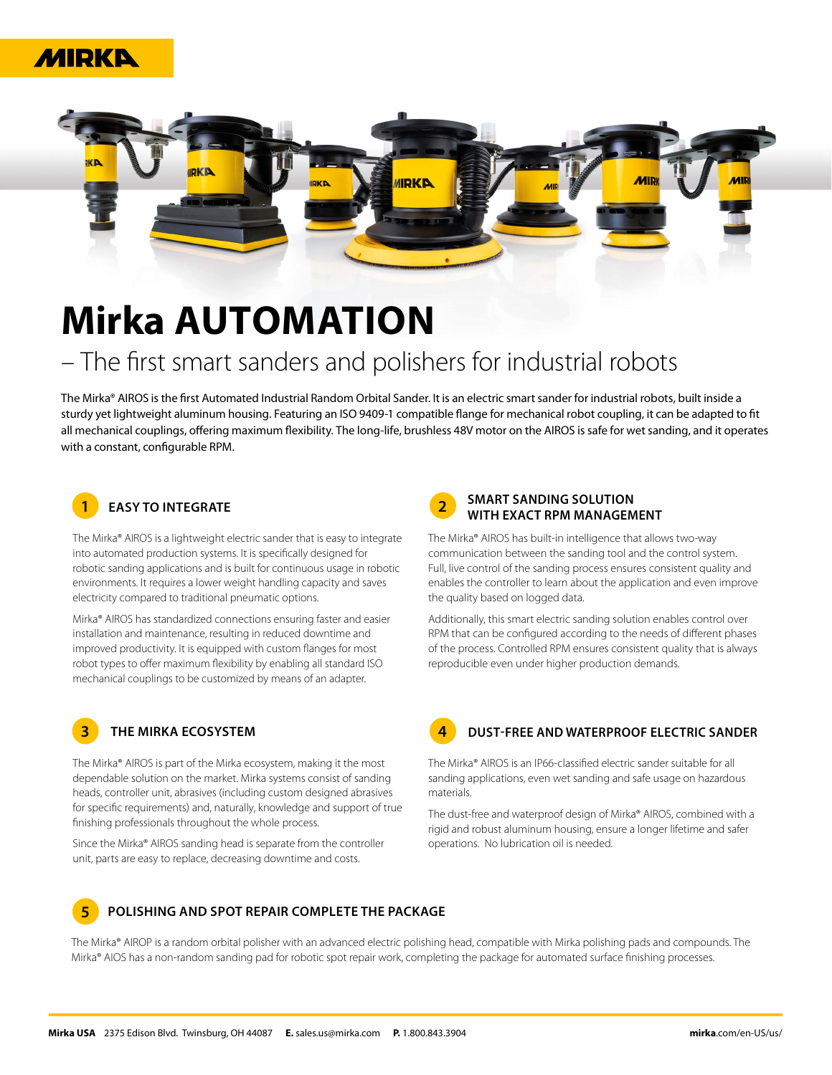



# **Mirka AUTOMATION**

# – The first smart sanders and polishers for industrial robots

The Mirka® AIROS is the first Automated Industrial Random Orbital Sander. It is an electric smart sander for industrial robots, built inside a sturdy yet lightweight aluminum housing. Featuring an ISO 9409-1 compatible flange for mechanical robot coupling, it can be adapted to fit all mechanical couplings, offering maximum flexibility. The long-life, brushless 48V motor on the AIROS is safe for wet sanding, and it operates with a constant, configurable RPM.

# **1**

The Mirka® AIROS is a lightweight electric sander that is easy to integrate into automated production systems. It is specifically designed for robotic sanding applications and is built for continuous usage in robotic environments. It requires a lower weight handling capacity and saves electricity compared to traditional pneumatic options.

Mirka® AIROS has standardized connections ensuring faster and easier installation and maintenance, resulting in reduced downtime and improved productivity. It is equipped with custom flanges for most robot types to offer maximum flexibility by enabling all standard ISO mechanical couplings to be customized by means of an adapter.

# **3**

The Mirka® AIROS is part of the Mirka ecosystem, making it the most dependable solution on the market. Mirka systems consist of sanding heads, controller unit, abrasives (including custom designed abrasives for specific requirements) and, naturally, knowledge and support of true finishing professionals throughout the whole process.

Since the Mirka® AIROS sanding head is separate from the controller unit, parts are easy to replace, decreasing downtime and costs.

#### **2 EASY TO INTEGRATE SMART SANDING SOLUTION WITH EXACT RPM MANAGEMENT**

The Mirka® AIROS has built-in intelligence that allows two-way communication between the sanding tool and the control system. Full, live control of the sanding process ensures consistent quality and enables the controller to learn about the application and even improve the quality based on logged data.

Additionally, this smart electric sanding solution enables control over RPM that can be configured according to the needs of different phases of the process. Controlled RPM ensures consistent quality that is always reproducible even under higher production demands.

**4**

### **THE MIRKA ECOSYSTEM DUST-FREE AND WATERPROOF ELECTRIC SANDER**

The Mirka® AIROS is an IP66-classified electric sander suitable for all sanding applications, even wet sanding and safe usage on hazardous materials.

The dust-free and waterproof design of Mirka® AIROS, combined with a rigid and robust aluminum housing, ensure a longer lifetime and safer operations. No lubrication oil is needed.

#### **5 POLISHING AND SPOT REPAIR COMPLETE THE PACKAGE**

The Mirka® AIROP is a random orbital polisher with an advanced electric polishing head, compatible with Mirka polishing pads and compounds. The Mirka® AIOS has a non-random sanding pad for robotic spot repair work, completing the package for automated surface finishing processes.